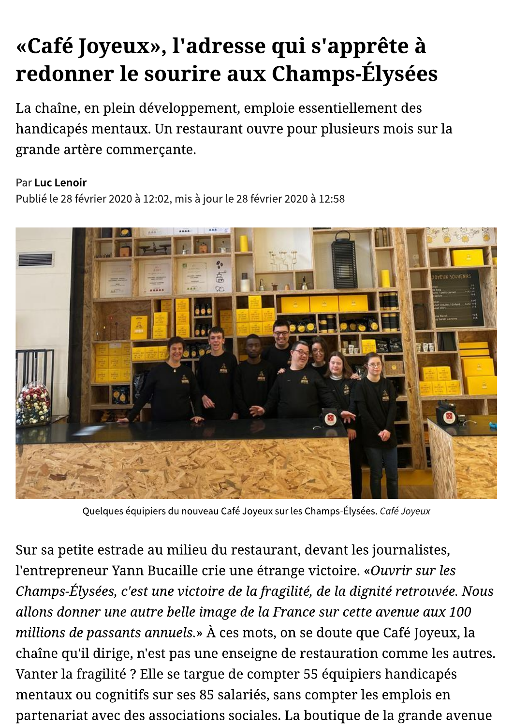## «Café Joyeux», l'adresse qui s'apprête à redonner le sourire aux Champs-Élysées

La chaîne, en plein développement, emploie essentiellement des handicapés mentaux. Un restaurant ouvre pour plusieurs mois sur la grande artère commerçante.

## Par Luc Lenoir

Publié le 28 février 2020 à 12:02, mis à jour le 28 février 2020 à 12:58



Quelques équipiers du nouveau Café Joyeux sur les Champs-Élysées. Café Joyeux

Sur sa petite estrade au milieu du restaurant, devant les journalistes, l'entrepreneur Yann Bucaille crie une étrange victoire. «Ouvrir sur les Champs-Élysées, c'est une victoire de la fragilité, de la dignité retrouvée. Nous allons donner une autre belle image de la France sur cette avenue aux 100 millions de passants annuels.» À ces mots, on se doute que Café Joyeux, la chaîne qu'il dirige, n'est pas une enseigne de restauration comme les autres. Vanter la fragilité ? Elle se targue de compter 55 équipiers handicapés mentaux ou cognitifs sur ses 85 salariés, sans compter les emplois en partenariat avec des associations sociales. La boutique de la grande avenue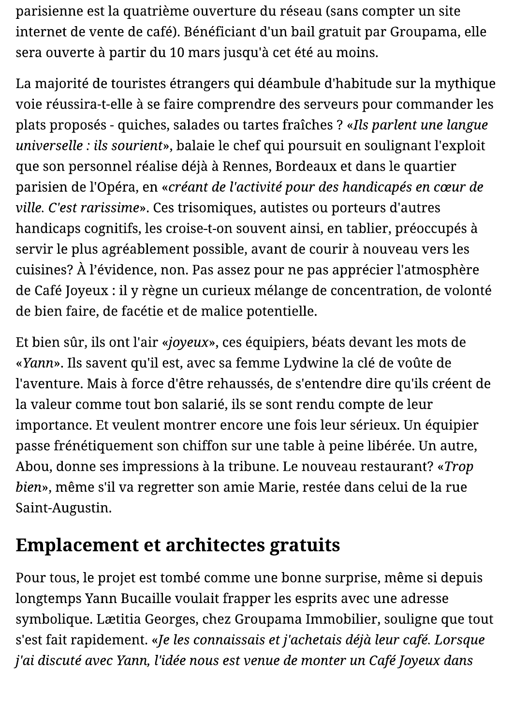parisienne est la quatrième ouverture du réseau (sans compter un site internet de vente de café). Bénéficiant d'un bail gratuit par Groupama, elle sera ouverte à partir du 10 mars jusqu'à cet été au moins.

La majorité de touristes étrangers qui déambule d'habitude sur la mythique voie réussira-t-elle à se faire comprendre des serveurs pour commander les plats proposés - quiches, salades ou tartes fraîches ? «Ils parlent une langue universelle : ils sourient», balaie le chef qui poursuit en soulignant l'exploit que son personnel réalise déjà à Rennes, Bordeaux et dans le quartier parisien de l'Opéra, en «créant de l'activité pour des handicapés en cœur de ville. C'est rarissime». Ces trisomiques, autistes ou porteurs d'autres handicaps cognitifs, les croise-t-on souvent ainsi, en tablier, préoccupés à servir le plus agréablement possible, avant de courir à nouveau vers les cuisines? À l'évidence, non. Pas assez pour ne pas apprécier l'atmosphère de Café Joyeux : il y règne un curieux mélange de concentration, de volonté de bien faire, de facétie et de malice potentielle.

Et bien sûr, ils ont l'air «joyeux», ces équipiers, béats devant les mots de «Yann». Ils savent qu'il est, avec sa femme Lydwine la clé de voûte de l'aventure. Mais à force d'être rehaussés, de s'entendre dire qu'ils créent de la valeur comme tout bon salarié, ils se sont rendu compte de leur importance. Et veulent montrer encore une fois leur sérieux. Un équipier passe frénétiquement son chiffon sur une table à peine libérée. Un autre, Abou, donne ses impressions à la tribune. Le nouveau restaurant? «Trop bien», même s'il va regretter son amie Marie, restée dans celui de la rue Saint-Augustin.

## **Emplacement et architectes gratuits**

Pour tous, le projet est tombé comme une bonne surprise, même si depuis longtemps Yann Bucaille voulait frapper les esprits avec une adresse symbolique. Lætitia Georges, chez Groupama Immobilier, souligne que tout s'est fait rapidement. «Je les connaissais et j'achetais déjà leur café. Lorsque j'ai discuté avec Yann, l'idée nous est venue de monter un Café Joyeux dans